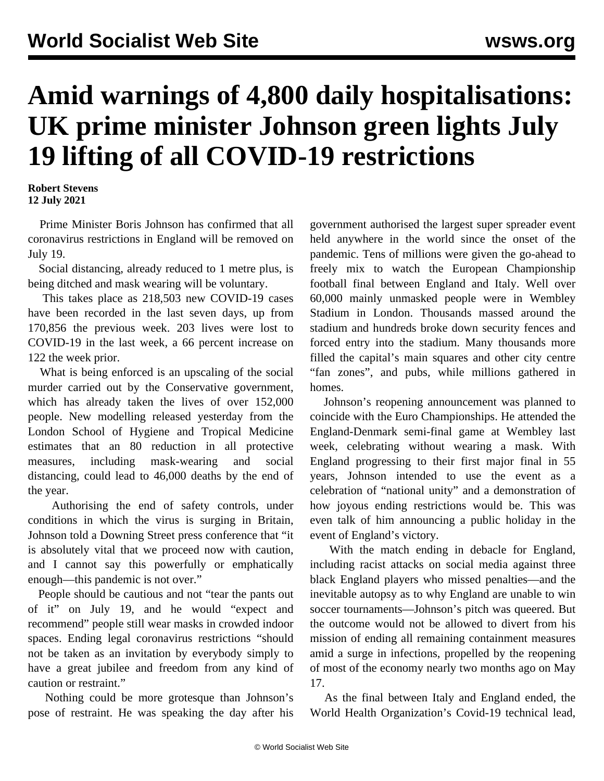## **Amid warnings of 4,800 daily hospitalisations: UK prime minister Johnson green lights July 19 lifting of all COVID-19 restrictions**

**Robert Stevens 12 July 2021**

 Prime Minister Boris Johnson has confirmed that all coronavirus restrictions in England will be removed on July 19.

 Social distancing, already reduced to 1 metre plus, is being ditched and mask wearing will be voluntary.

 This takes place as 218,503 new COVID-19 cases have been recorded in the last seven days, up from 170,856 the previous week. 203 lives were lost to COVID-19 in the last week, a 66 percent increase on 122 the week prior.

 What is being enforced is an upscaling of the social murder carried out by the Conservative government, which has already taken the lives of over 152,000 people. New modelling released yesterday from the London School of Hygiene and Tropical Medicine estimates that an 80 reduction in all protective measures, including mask-wearing and social distancing, could lead to 46,000 deaths by the end of the year.

 Authorising the end of safety controls, under conditions in which the virus is surging in Britain, Johnson told a Downing Street press conference that "it is absolutely vital that we proceed now with caution, and I cannot say this powerfully or emphatically enough—this pandemic is not over."

 People should be cautious and not "tear the pants out of it" on July 19, and he would "expect and recommend" people still wear masks in crowded indoor spaces. Ending legal coronavirus restrictions "should not be taken as an invitation by everybody simply to have a great jubilee and freedom from any kind of caution or restraint."

 Nothing could be more grotesque than Johnson's pose of restraint. He was speaking the day after his

government authorised the largest super spreader event held anywhere in the world since the onset of the pandemic. Tens of millions were given the go-ahead to freely mix to watch the European Championship football final between England and Italy. Well over 60,000 mainly unmasked people were in Wembley Stadium in London. Thousands massed around the stadium and hundreds broke down security fences and forced entry into the stadium. Many thousands more filled the capital's main squares and other city centre "fan zones", and pubs, while millions gathered in homes.

 Johnson's reopening announcement was planned to coincide with the Euro Championships. He attended the England-Denmark semi-final game at Wembley last week, celebrating without wearing a mask. With England progressing to their first major final in 55 years, Johnson intended to use the event as a celebration of "national unity" and a demonstration of how joyous ending restrictions would be. This was even talk of him announcing a public holiday in the event of England's victory.

 With the match ending in debacle for England, including racist attacks on social media against three black England players who missed penalties—and the inevitable autopsy as to why England are unable to win soccer tournaments—Johnson's pitch was queered. But the outcome would not be allowed to divert from his mission of ending all remaining containment measures amid a surge in infections, propelled by the reopening of most of the economy nearly two months ago on May 17.

 As the final between Italy and England ended, the World Health Organization's Covid-19 technical lead,